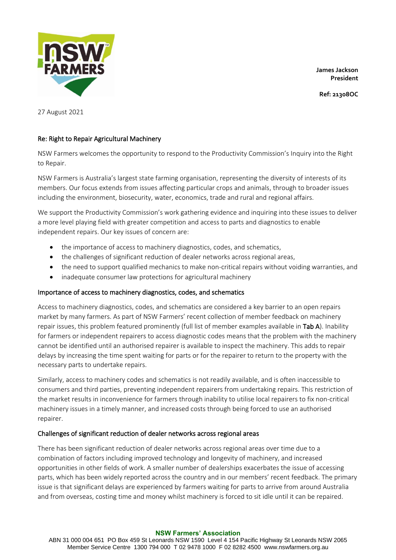**James Jackson President**

**Ref: 21308OC**



27 August 2021

# Re: Right to Repair Agricultural Machinery

NSW Farmers welcomes the opportunity to respond to the Productivity Commission's Inquiry into the Right to Repair.

NSW Farmers is Australia's largest state farming organisation, representing the diversity of interests of its members. Our focus extends from issues affecting particular crops and animals, through to broader issues including the environment, biosecurity, water, economics, trade and rural and regional affairs.

We support the Productivity Commission's work gathering evidence and inquiring into these issues to deliver a more level playing field with greater competition and access to parts and diagnostics to enable independent repairs. Our key issues of concern are:

- the importance of access to machinery diagnostics, codes, and schematics,
- the challenges of significant reduction of dealer networks across regional areas,
- the need to support qualified mechanics to make non-critical repairs without voiding warranties, and
- inadequate consumer law protections for agricultural machinery

## Importance of access to machinery diagnostics, codes, and schematics

Access to machinery diagnostics, codes, and schematics are considered a key barrier to an open repairs market by many farmers. As part of NSW Farmers' recent collection of member feedback on machinery repair issues, this problem featured prominently (full list of member examples available in Tab A). Inability for farmers or independent repairers to access diagnostic codes means that the problem with the machinery cannot be identified until an authorised repairer is available to inspect the machinery. This adds to repair delays by increasing the time spent waiting for parts or for the repairer to return to the property with the necessary parts to undertake repairs.

Similarly, access to machinery codes and schematics is not readily available, and is often inaccessible to consumers and third parties, preventing independent repairers from undertaking repairs. This restriction of the market results in inconvenience for farmers through inability to utilise local repairers to fix non-critical machinery issues in a timely manner, and increased costs through being forced to use an authorised repairer.

## Challenges of significant reduction of dealer networks across regional areas

There has been significant reduction of dealer networks across regional areas over time due to a combination of factors including improved technology and longevity of machinery, and increased opportunities in other fields of work. A smaller number of dealerships exacerbates the issue of accessing parts, which has been widely reported across the country and in our members' recent feedback. The primary issue is that significant delays are experienced by farmers waiting for parts to arrive from around Australia and from overseas, costing time and money whilst machinery is forced to sit idle until it can be repaired.

#### **NSW Farmers' Association**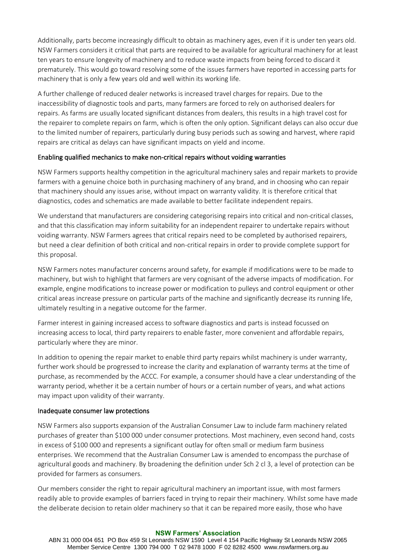Additionally, parts become increasingly difficult to obtain as machinery ages, even if it is under ten years old. NSW Farmers considers it critical that parts are required to be available for agricultural machinery for at least ten years to ensure longevity of machinery and to reduce waste impacts from being forced to discard it prematurely. This would go toward resolving some of the issues farmers have reported in accessing parts for machinery that is only a few years old and well within its working life.

A further challenge of reduced dealer networks is increased travel charges for repairs. Due to the inaccessibility of diagnostic tools and parts, many farmers are forced to rely on authorised dealers for repairs. As farms are usually located significant distances from dealers, this results in a high travel cost for the repairer to complete repairs on farm, which is often the only option. Significant delays can also occur due to the limited number of repairers, particularly during busy periods such as sowing and harvest, where rapid repairs are critical as delays can have significant impacts on yield and income.

## Enabling qualified mechanics to make non-critical repairs without voiding warranties

NSW Farmers supports healthy competition in the agricultural machinery sales and repair markets to provide farmers with a genuine choice both in purchasing machinery of any brand, and in choosing who can repair that machinery should any issues arise, without impact on warranty validity. It is therefore critical that diagnostics, codes and schematics are made available to better facilitate independent repairs.

We understand that manufacturers are considering categorising repairs into critical and non-critical classes, and that this classification may inform suitability for an independent repairer to undertake repairs without voiding warranty. NSW Farmers agrees that critical repairs need to be completed by authorised repairers, but need a clear definition of both critical and non-critical repairs in order to provide complete support for this proposal.

NSW Farmers notes manufacturer concerns around safety, for example if modifications were to be made to machinery, but wish to highlight that farmers are very cognisant of the adverse impacts of modification. For example, engine modifications to increase power or modification to pulleys and control equipment or other critical areas increase pressure on particular parts of the machine and significantly decrease its running life, ultimately resulting in a negative outcome for the farmer.

Farmer interest in gaining increased access to software diagnostics and parts is instead focussed on increasing access to local, third party repairers to enable faster, more convenient and affordable repairs, particularly where they are minor.

In addition to opening the repair market to enable third party repairs whilst machinery is under warranty, further work should be progressed to increase the clarity and explanation of warranty terms at the time of purchase, as recommended by the ACCC. For example, a consumer should have a clear understanding of the warranty period, whether it be a certain number of hours or a certain number of years, and what actions may impact upon validity of their warranty.

## Inadequate consumer law protections

NSW Farmers also supports expansion of the Australian Consumer Law to include farm machinery related purchases of greater than \$100 000 under consumer protections. Most machinery, even second hand, costs in excess of \$100 000 and represents a significant outlay for often small or medium farm business enterprises. We recommend that the Australian Consumer Law is amended to encompass the purchase of agricultural goods and machinery. By broadening the definition under Sch 2 cl 3, a level of protection can be provided for farmers as consumers.

Our members consider the right to repair agricultural machinery an important issue, with most farmers readily able to provide examples of barriers faced in trying to repair their machinery. Whilst some have made the deliberate decision to retain older machinery so that it can be repaired more easily, those who have

#### **NSW Farmers' Association**

ABN 31 000 004 651 PO Box 459 St Leonards NSW 1590 Level 4 154 Pacific Highway St Leonards NSW 2065 Member Service Centre 1300 794 000 T 02 9478 1000 F 02 8282 4500 www.nswfarmers.org.au